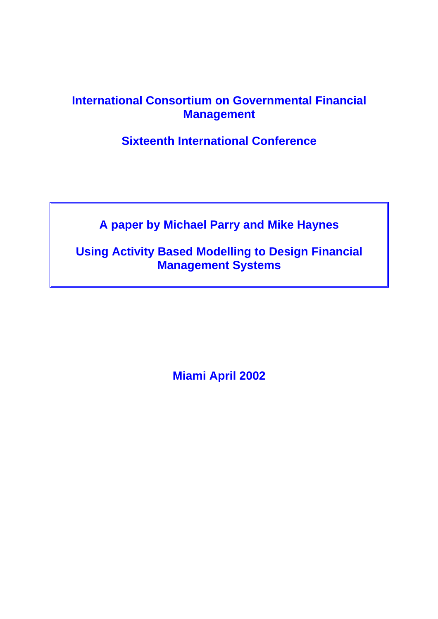### **International Consortium on Governmental Financial Management**

**Sixteenth International Conference** 

**A paper by Michael Parry and Mike Haynes** 

**Using Activity Based Modelling to Design Financial Management Systems** 

**Miami April 2002**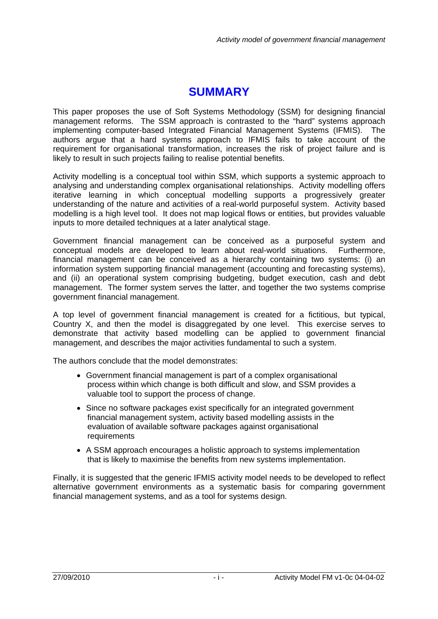## **SUMMARY**

<span id="page-1-0"></span>This paper proposes the use of Soft Systems Methodology (SSM) for designing financial management reforms. The SSM approach is contrasted to the "hard" systems approach implementing computer-based Integrated Financial Management Systems (IFMIS). The authors argue that a hard systems approach to IFMIS fails to take account of the requirement for organisational transformation, increases the risk of project failure and is likely to result in such projects failing to realise potential benefits.

Activity modelling is a conceptual tool within SSM, which supports a systemic approach to analysing and understanding complex organisational relationships. Activity modelling offers iterative learning in which conceptual modelling supports a progressively greater understanding of the nature and activities of a real-world purposeful system. Activity based modelling is a high level tool. It does not map logical flows or entities, but provides valuable inputs to more detailed techniques at a later analytical stage.

Government financial management can be conceived as a purposeful system and conceptual models are developed to learn about real-world situations. Furthermore, financial management can be conceived as a hierarchy containing two systems: (i) an information system supporting financial management (accounting and forecasting systems), and (ii) an operational system comprising budgeting, budget execution, cash and debt management. The former system serves the latter, and together the two systems comprise government financial management.

A top level of government financial management is created for a fictitious, but typical, Country X, and then the model is disaggregated by one level. This exercise serves to demonstrate that activity based modelling can be applied to government financial management, and describes the major activities fundamental to such a system.

The authors conclude that the model demonstrates:

- Government financial management is part of a complex organisational process within which change is both difficult and slow, and SSM provides a valuable tool to support the process of change.
- Since no software packages exist specifically for an integrated government financial management system, activity based modelling assists in the evaluation of available software packages against organisational requirements
- A SSM approach encourages a holistic approach to systems implementation that is likely to maximise the benefits from new systems implementation.

Finally, it is suggested that the generic IFMIS activity model needs to be developed to reflect alternative government environments as a systematic basis for comparing government financial management systems, and as a tool for systems design.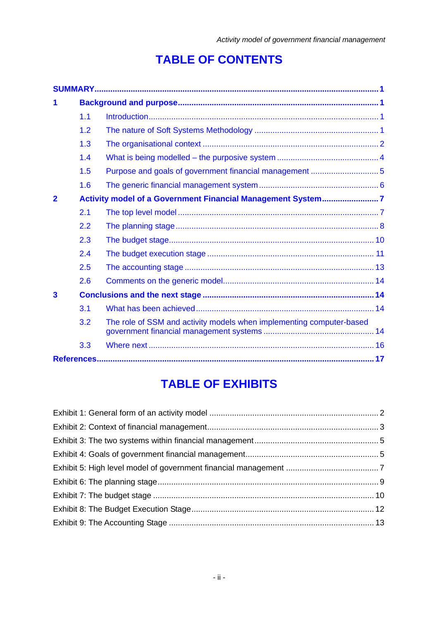# **TABLE OF CONTENTS**

| 1              |                                                             |                                                                      |  |
|----------------|-------------------------------------------------------------|----------------------------------------------------------------------|--|
|                | 1.1                                                         |                                                                      |  |
|                | 1.2                                                         |                                                                      |  |
|                | 1.3                                                         |                                                                      |  |
|                | 1.4                                                         |                                                                      |  |
|                | 1.5                                                         |                                                                      |  |
|                | 1.6                                                         |                                                                      |  |
| $\overline{2}$ | Activity model of a Government Financial Management System7 |                                                                      |  |
|                | 2.1                                                         |                                                                      |  |
|                | 2.2                                                         |                                                                      |  |
|                | 2.3                                                         |                                                                      |  |
|                | 2.4                                                         |                                                                      |  |
|                | 2.5                                                         |                                                                      |  |
|                | 2.6                                                         |                                                                      |  |
| 3              |                                                             |                                                                      |  |
|                | 3.1                                                         |                                                                      |  |
|                | 3.2                                                         | The role of SSM and activity models when implementing computer-based |  |
|                | 3.3                                                         |                                                                      |  |
|                |                                                             |                                                                      |  |

# **TABLE OF EXHIBITS**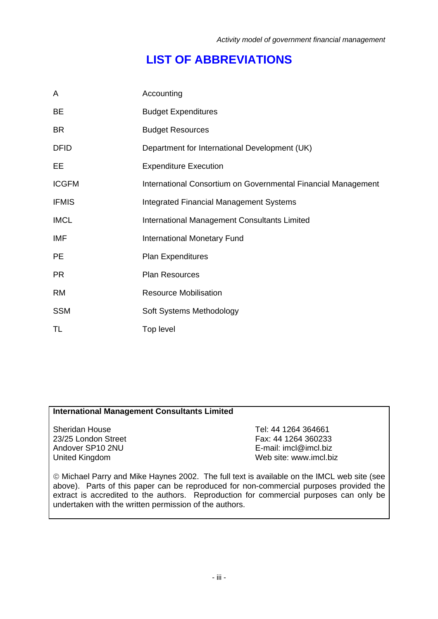## **LIST OF ABBREVIATIONS**

| A            | Accounting                                                    |
|--------------|---------------------------------------------------------------|
| <b>BE</b>    | <b>Budget Expenditures</b>                                    |
| <b>BR</b>    | <b>Budget Resources</b>                                       |
| <b>DFID</b>  | Department for International Development (UK)                 |
| EE           | <b>Expenditure Execution</b>                                  |
| <b>ICGFM</b> | International Consortium on Governmental Financial Management |
| <b>IFMIS</b> | <b>Integrated Financial Management Systems</b>                |
| <b>IMCL</b>  | International Management Consultants Limited                  |
| IMF          | <b>International Monetary Fund</b>                            |
| <b>PE</b>    | <b>Plan Expenditures</b>                                      |
| <b>PR</b>    | Plan Resources                                                |
| <b>RM</b>    | <b>Resource Mobilisation</b>                                  |
| <b>SSM</b>   | Soft Systems Methodology                                      |
| TL           | Top level                                                     |

#### **International Management Consultants Limited**

Sheridan House 23/25 London Street Andover SP10 2NU United Kingdom

Tel: 44 1264 364661 Fax: 44 1264 360233 E-mail: imcl@imcl.biz Web site: www.imcl.biz

© Michael Parry and Mike Haynes 2002. The full text is available on the IMCL web site (see above). Parts of this paper can be reproduced for non-commercial purposes provided the extract is accredited to the authors. Reproduction for commercial purposes can only be undertaken with the written permission of the authors.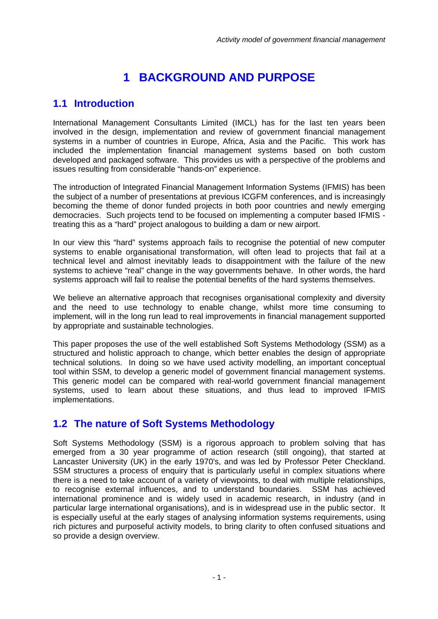## **1 BACKGROUND AND PURPOSE**

### <span id="page-4-0"></span>**1.1 Introduction**

International Management Consultants Limited (IMCL) has for the last ten years been involved in the design, implementation and review of government financial management systems in a number of countries in Europe, Africa, Asia and the Pacific. This work has included the implementation financial management systems based on both custom developed and packaged software. This provides us with a perspective of the problems and issues resulting from considerable "hands-on" experience.

The introduction of Integrated Financial Management Information Systems (IFMIS) has been the subject of a number of presentations at previous ICGFM conferences, and is increasingly becoming the theme of donor funded projects in both poor countries and newly emerging democracies. Such projects tend to be focused on implementing a computer based IFMIS treating this as a "hard" project analogous to building a dam or new airport.

In our view this "hard" systems approach fails to recognise the potential of new computer systems to enable organisational transformation, will often lead to projects that fail at a technical level and almost inevitably leads to disappointment with the failure of the new systems to achieve "real" change in the way governments behave. In other words, the hard systems approach will fail to realise the potential benefits of the hard systems themselves.

We believe an alternative approach that recognises organisational complexity and diversity and the need to use technology to enable change, whilst more time consuming to implement, will in the long run lead to real improvements in financial management supported by appropriate and sustainable technologies.

This paper proposes the use of the well established Soft Systems Methodology (SSM) as a structured and holistic approach to change, which better enables the design of appropriate technical solutions. In doing so we have used activity modelling, an important conceptual tool within SSM, to develop a generic model of government financial management systems. This generic model can be compared with real-world government financial management systems, used to learn about these situations, and thus lead to improved IFMIS implementations.

### **1.2 The nature of Soft Systems Methodology**

Soft Systems Methodology (SSM) is a rigorous approach to problem solving that has emerged from a 30 year programme of action research (still ongoing), that started at Lancaster University (UK) in the early 1970's, and was led by Professor Peter Checkland. SSM structures a process of enquiry that is particularly useful in complex situations where there is a need to take account of a variety of viewpoints, to deal with multiple relationships, to recognise external influences, and to understand boundaries. SSM has achieved international prominence and is widely used in academic research, in industry (and in particular large international organisations), and is in widespread use in the public sector. It is especially useful at the early stages of analysing information systems requirements, using rich pictures and purposeful activity models, to bring clarity to often confused situations and so provide a design overview.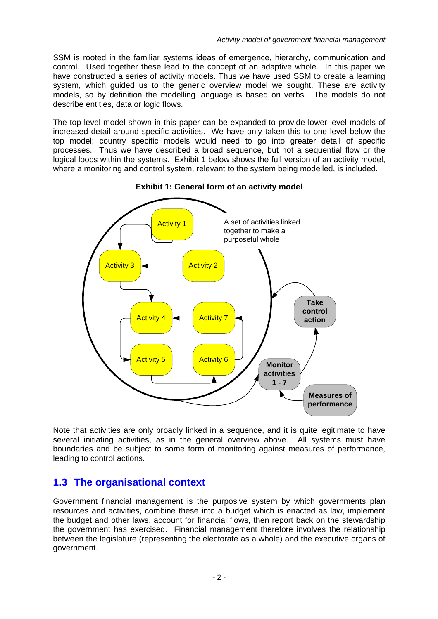<span id="page-5-0"></span>SSM is rooted in the familiar systems ideas of emergence, hierarchy, communication and control. Used together these lead to the concept of an adaptive whole. In this paper we have constructed a series of activity models. Thus we have used SSM to create a learning system, which guided us to the generic overview model we sought. These are activity models, so by definition the modelling language is based on verbs. The models do not describe entities, data or logic flows.

The top level model shown in this paper can be expanded to provide lower level models of increased detail around specific activities. We have only taken this to one level below the top model; country specific models would need to go into greater detail of specific processes. Thus we have described a broad sequence, but not a sequential flow or the logical loops within the systems. [Exhibit 1](#page-5-1) below shows the full version of an activity model, where a monitoring and control system, relevant to the system being modelled, is included.

<span id="page-5-1"></span>

**Exhibit 1: General form of an activity model** 

Note that activities are only broadly linked in a sequence, and it is quite legitimate to have several initiating activities, as in the general overview above. All systems must have boundaries and be subject to some form of monitoring against measures of performance, leading to control actions.

### **1.3 The organisational context**

Government financial management is the purposive system by which governments plan resources and activities, combine these into a budget which is enacted as law, implement the budget and other laws, account for financial flows, then report back on the stewardship the government has exercised. Financial management therefore involves the relationship between the legislature (representing the electorate as a whole) and the executive organs of government.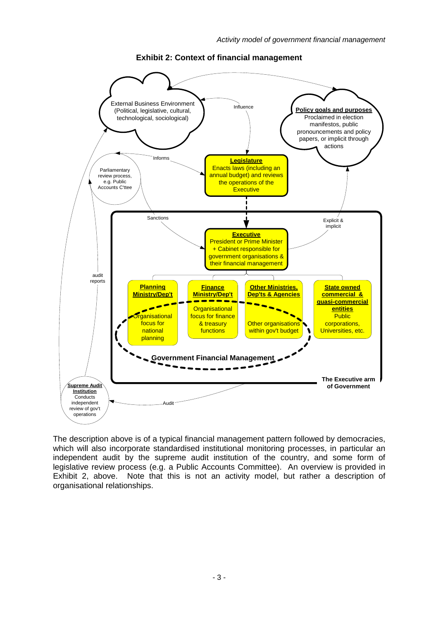<span id="page-6-1"></span><span id="page-6-0"></span>

**Exhibit 2: Context of financial management** 

The description above is of a typical financial management pattern followed by democracies, which will also incorporate standardised institutional monitoring processes, in particular an independent audit by the supreme audit institution of the country, and some form of legislative review process (e.g. a Public Accounts Committee). An overview is provided in [Exhibit 2,](#page-6-1) [above.](#page-6-1) Note that this is not an activity model, but rather a description of organisational relationships.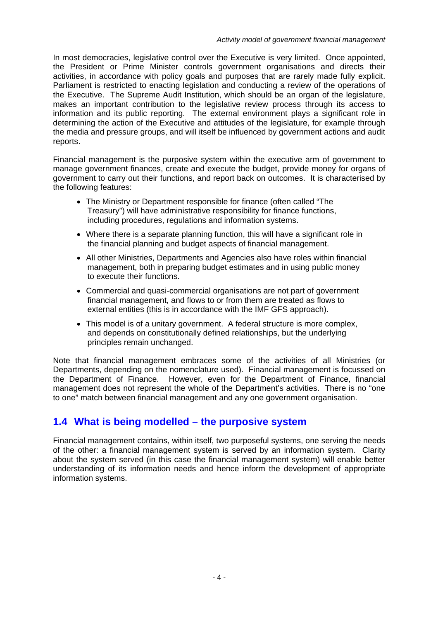<span id="page-7-0"></span>In most democracies, legislative control over the Executive is very limited. Once appointed, the President or Prime Minister controls government organisations and directs their activities, in accordance with policy goals and purposes that are rarely made fully explicit. Parliament is restricted to enacting legislation and conducting a review of the operations of the Executive. The Supreme Audit Institution, which should be an organ of the legislature, makes an important contribution to the legislative review process through its access to information and its public reporting. The external environment plays a significant role in determining the action of the Executive and attitudes of the legislature, for example through the media and pressure groups, and will itself be influenced by government actions and audit reports.

Financial management is the purposive system within the executive arm of government to manage government finances, create and execute the budget, provide money for organs of government to carry out their functions, and report back on outcomes. It is characterised by the following features:

- The Ministry or Department responsible for finance (often called "The Treasury") will have administrative responsibility for finance functions, including procedures, regulations and information systems.
- Where there is a separate planning function, this will have a significant role in the financial planning and budget aspects of financial management.
- All other Ministries, Departments and Agencies also have roles within financial management, both in preparing budget estimates and in using public money to execute their functions.
- Commercial and quasi-commercial organisations are not part of government financial management, and flows to or from them are treated as flows to external entities (this is in accordance with the IMF GFS approach).
- This model is of a unitary government. A federal structure is more complex, and depends on constitutionally defined relationships, but the underlying principles remain unchanged.

Note that financial management embraces some of the activities of all Ministries (or Departments, depending on the nomenclature used). Financial management is focussed on the Department of Finance. However, even for the Department of Finance, financial management does not represent the whole of the Department's activities. There is no "one to one" match between financial management and any one government organisation.

### **1.4 What is being modelled – the purposive system**

Financial management contains, within itself, two purposeful systems, one serving the needs of the other: a financial management system is served by an information system. Clarity about the system served (in this case the financial management system) will enable better understanding of its information needs and hence inform the development of appropriate information systems.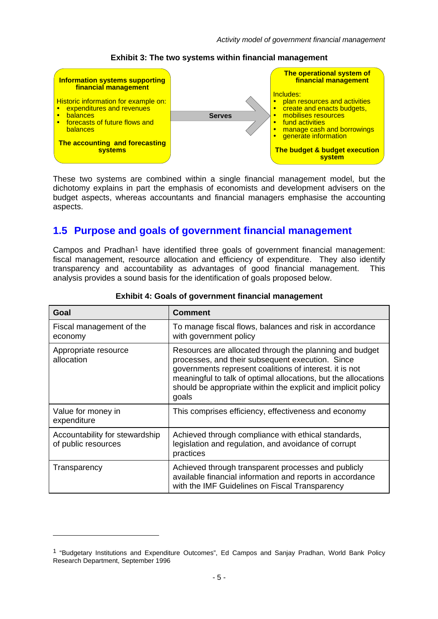<span id="page-8-0"></span>

#### **Exhibit 3: The two systems within financial management**

These two systems are combined within a single financial management model, but the dichotomy explains in part the emphasis of economists and development advisers on the budget aspects, whereas accountants and financial managers emphasise the accounting aspects.

#### **1.5 Purpose and goals of government financial management**

Campos and Pradhan<sup>[1](#page-8-1)</sup> have identified three goals of government financial management: fiscal management, resource allocation and efficiency of expenditure. They also identify transparency and accountability as advantages of good financial management. This analysis provides a sound basis for the identification of goals proposed below.

| Goal                                                  | <b>Comment</b>                                                                                                                                                                                                                                                                                                     |
|-------------------------------------------------------|--------------------------------------------------------------------------------------------------------------------------------------------------------------------------------------------------------------------------------------------------------------------------------------------------------------------|
| Fiscal management of the<br>economy                   | To manage fiscal flows, balances and risk in accordance<br>with government policy                                                                                                                                                                                                                                  |
| Appropriate resource<br>allocation                    | Resources are allocated through the planning and budget<br>processes, and their subsequent execution. Since<br>governments represent coalitions of interest. it is not<br>meaningful to talk of optimal allocations, but the allocations<br>should be appropriate within the explicit and implicit policy<br>goals |
| Value for money in<br>expenditure                     | This comprises efficiency, effectiveness and economy                                                                                                                                                                                                                                                               |
| Accountability for stewardship<br>of public resources | Achieved through compliance with ethical standards,<br>legislation and regulation, and avoidance of corrupt<br>practices                                                                                                                                                                                           |
| Transparency                                          | Achieved through transparent processes and publicly<br>available financial information and reports in accordance<br>with the IMF Guidelines on Fiscal Transparency                                                                                                                                                 |

#### **Exhibit 4: Goals of government financial management**

<span id="page-8-1"></span><sup>1 &</sup>quot;Budgetary Institutions and Expenditure Outcomes", Ed Campos and Sanjay Pradhan, World Bank Policy Research Department, September 1996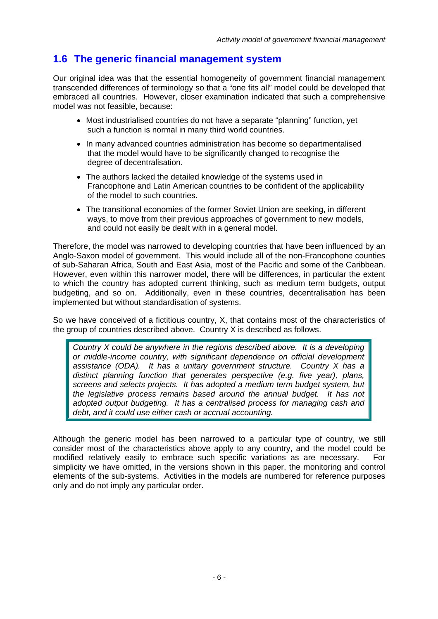### <span id="page-9-0"></span>**1.6 The generic financial management system**

Our original idea was that the essential homogeneity of government financial management transcended differences of terminology so that a "one fits all" model could be developed that embraced all countries. However, closer examination indicated that such a comprehensive model was not feasible, because:

- Most industrialised countries do not have a separate "planning" function, yet such a function is normal in many third world countries.
- In many advanced countries administration has become so departmentalised that the model would have to be significantly changed to recognise the degree of decentralisation.
- The authors lacked the detailed knowledge of the systems used in Francophone and Latin American countries to be confident of the applicability of the model to such countries.
- The transitional economies of the former Soviet Union are seeking, in different ways, to move from their previous approaches of government to new models, and could not easily be dealt with in a general model.

Therefore, the model was narrowed to developing countries that have been influenced by an Anglo-Saxon model of government. This would include all of the non-Francophone counties of sub-Saharan Africa, South and East Asia, most of the Pacific and some of the Caribbean. However, even within this narrower model, there will be differences, in particular the extent to which the country has adopted current thinking, such as medium term budgets, output budgeting, and so on. Additionally, even in these countries, decentralisation has been implemented but without standardisation of systems.

So we have conceived of a fictitious country, X, that contains most of the characteristics of the group of countries described above. Country X is described as follows.

*Country X could be anywhere in the regions described above. It is a developing or middle-income country, with significant dependence on official development assistance (ODA). It has a unitary government structure. Country X has a distinct planning function that generates perspective (e.g. five year), plans, screens and selects projects. It has adopted a medium term budget system, but the legislative process remains based around the annual budget. It has not adopted output budgeting. It has a centralised process for managing cash and debt, and it could use either cash or accrual accounting.* 

Although the generic model has been narrowed to a particular type of country, we still consider most of the characteristics above apply to any country, and the model could be modified relatively easily to embrace such specific variations as are necessary. For simplicity we have omitted, in the versions shown in this paper, the monitoring and control elements of the sub-systems. Activities in the models are numbered for reference purposes only and do not imply any particular order.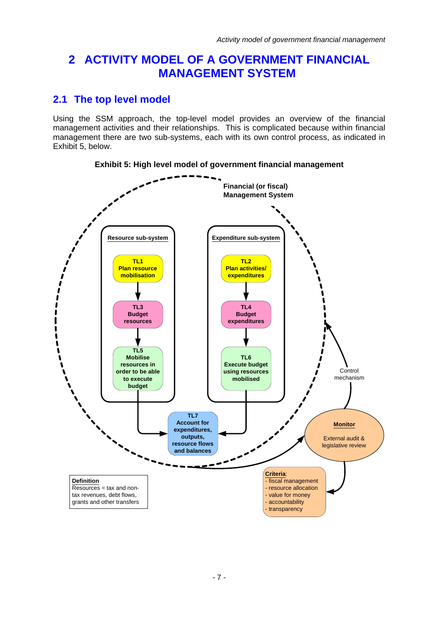### <span id="page-10-0"></span>**2 ACTIVITY MODEL OF A GOVERNMENT FINANCIAL MANAGEMENT SYSTEM**

### **2.1 The top level model**

Using the SSM approach, the top-level model provides an overview of the financial management activities and their relationships. This is complicated because within financial management there are two sub-systems, each with its own control process, as indicated in [Exhibit 5](#page-10-1), [below](#page-10-1).

<span id="page-10-1"></span>

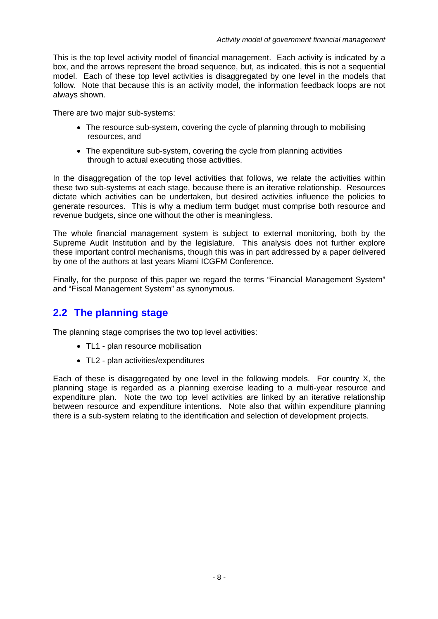<span id="page-11-0"></span>This is the top level activity model of financial management. Each activity is indicated by a box, and the arrows represent the broad sequence, but, as indicated, this is not a sequential model. Each of these top level activities is disaggregated by one level in the models that follow. Note that because this is an activity model, the information feedback loops are not always shown.

There are two major sub-systems:

- The resource sub-system, covering the cycle of planning through to mobilising resources, and
- The expenditure sub-system, covering the cycle from planning activities through to actual executing those activities.

In the disaggregation of the top level activities that follows, we relate the activities within these two sub-systems at each stage, because there is an iterative relationship. Resources dictate which activities can be undertaken, but desired activities influence the policies to generate resources. This is why a medium term budget must comprise both resource and revenue budgets, since one without the other is meaningless.

The whole financial management system is subject to external monitoring, both by the Supreme Audit Institution and by the legislature. This analysis does not further explore these important control mechanisms, though this was in part addressed by a paper delivered by one of the authors at last years Miami ICGFM Conference.

Finally, for the purpose of this paper we regard the terms "Financial Management System" and "Fiscal Management System" as synonymous.

### **2.2 The planning stage**

The planning stage comprises the two top level activities:

- TL1 plan resource mobilisation
- TL2 plan activities/expenditures

Each of these is disaggregated by one level in the following models. For country X, the planning stage is regarded as a planning exercise leading to a multi-year resource and expenditure plan. Note the two top level activities are linked by an iterative relationship between resource and expenditure intentions. Note also that within expenditure planning there is a sub-system relating to the identification and selection of development projects.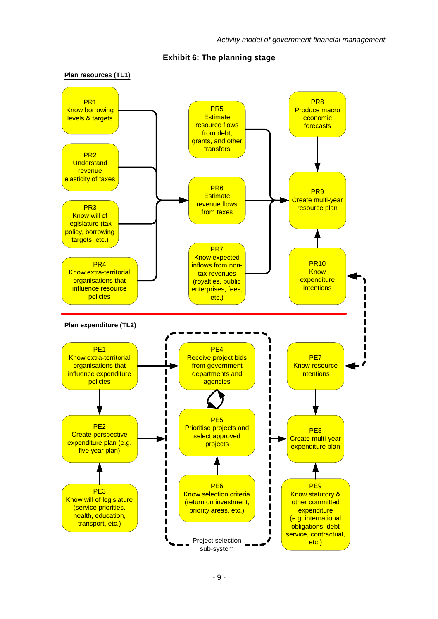<span id="page-12-0"></span>

#### **Exhibit 6: The planning stage**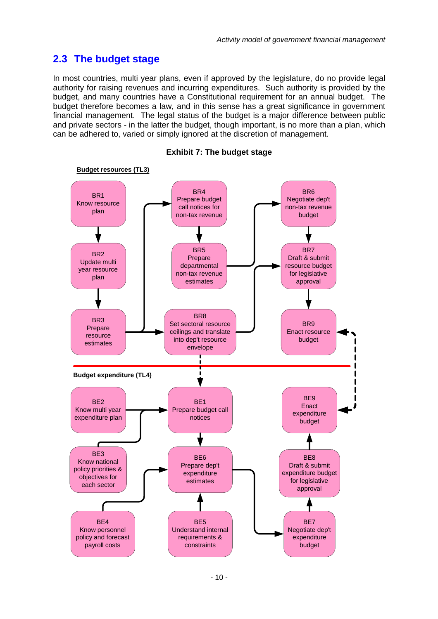### <span id="page-13-0"></span>**2.3 The budget stage**

In most countries, multi year plans, even if approved by the legislature, do no provide legal authority for raising revenues and incurring expenditures. Such authority is provided by the budget, and many countries have a Constitutional requirement for an annual budget. The budget therefore becomes a law, and in this sense has a great significance in government financial management. The legal status of the budget is a major difference between public and private sectors - in the latter the budget, though important, is no more than a plan, which can be adhered to, varied or simply ignored at the discretion of management.



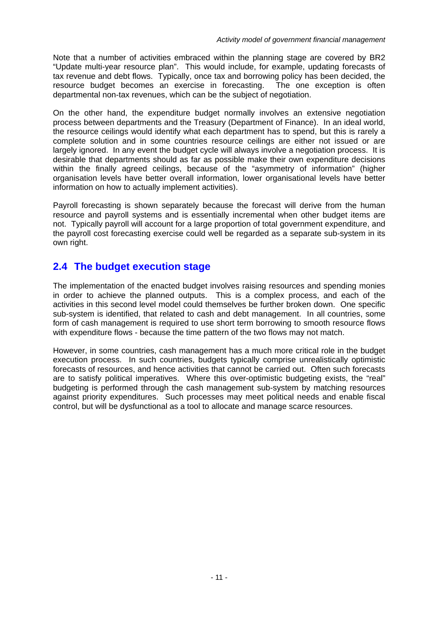<span id="page-14-0"></span>Note that a number of activities embraced within the planning stage are covered by BR2 "Update multi-year resource plan". This would include, for example, updating forecasts of tax revenue and debt flows. Typically, once tax and borrowing policy has been decided, the resource budget becomes an exercise in forecasting. The one exception is often departmental non-tax revenues, which can be the subject of negotiation.

On the other hand, the expenditure budget normally involves an extensive negotiation process between departments and the Treasury (Department of Finance). In an ideal world, the resource ceilings would identify what each department has to spend, but this is rarely a complete solution and in some countries resource ceilings are either not issued or are largely ignored. In any event the budget cycle will always involve a negotiation process. It is desirable that departments should as far as possible make their own expenditure decisions within the finally agreed ceilings, because of the "asymmetry of information" (higher organisation levels have better overall information, lower organisational levels have better information on how to actually implement activities).

Payroll forecasting is shown separately because the forecast will derive from the human resource and payroll systems and is essentially incremental when other budget items are not. Typically payroll will account for a large proportion of total government expenditure, and the payroll cost forecasting exercise could well be regarded as a separate sub-system in its own right.

### **2.4 The budget execution stage**

The implementation of the enacted budget involves raising resources and spending monies in order to achieve the planned outputs. This is a complex process, and each of the activities in this second level model could themselves be further broken down. One specific sub-system is identified, that related to cash and debt management. In all countries, some form of cash management is required to use short term borrowing to smooth resource flows with expenditure flows - because the time pattern of the two flows may not match.

However, in some countries, cash management has a much more critical role in the budget execution process. In such countries, budgets typically comprise unrealistically optimistic forecasts of resources, and hence activities that cannot be carried out. Often such forecasts are to satisfy political imperatives. Where this over-optimistic budgeting exists, the "real" budgeting is performed through the cash management sub-system by matching resources against priority expenditures. Such processes may meet political needs and enable fiscal control, but will be dysfunctional as a tool to allocate and manage scarce resources.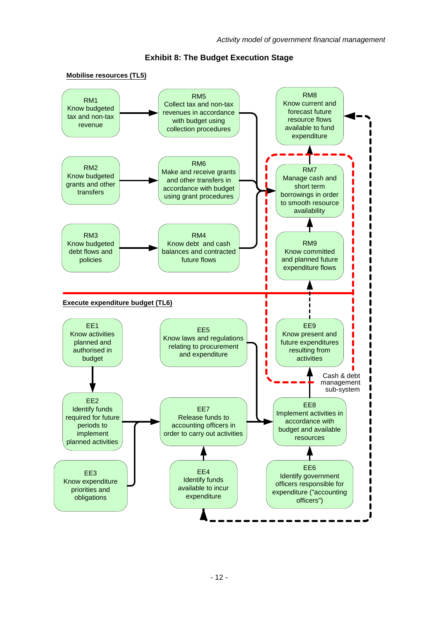<span id="page-15-0"></span>

**Exhibit 8: The Budget Execution Stage**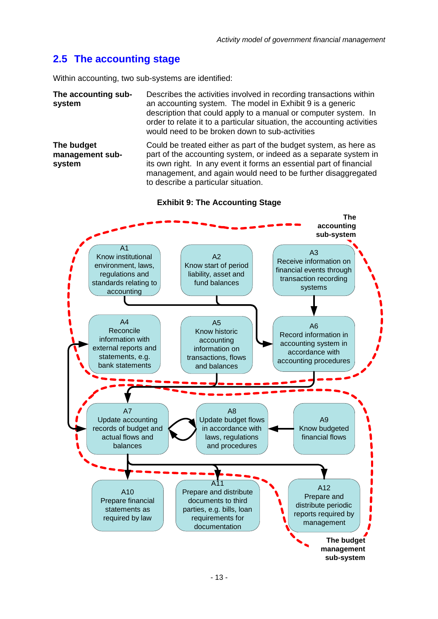### <span id="page-16-0"></span>**2.5 The accounting stage**

Within accounting, two sub-systems are identified:

**The accounting subsystem**  Describes the activities involved in recording transactions within an accounting system. The model in [Exhibit 9](#page-16-1) is a generic description that could apply to a manual or computer system. In order to relate it to a particular situation, the accounting activities would need to be broken down to sub-activities

**The budget management subsystem**  Could be treated either as part of the budget system, as here as part of the accounting system, or indeed as a separate system in its own right. In any event it forms an essential part of financial management, and again would need to be further disaggregated to describe a particular situation.



<span id="page-16-1"></span>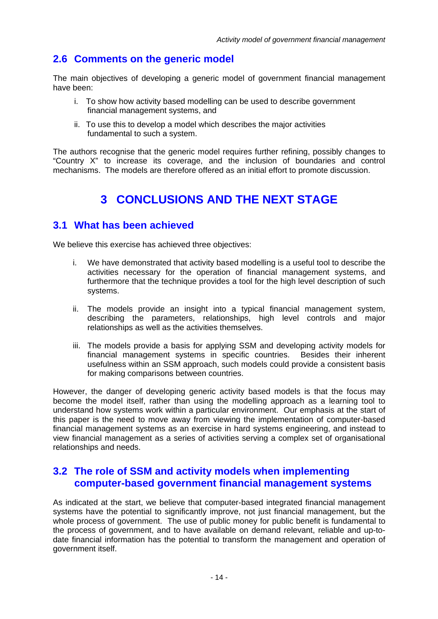### <span id="page-17-0"></span>**2.6 Comments on the generic model**

The main objectives of developing a generic model of government financial management have been:

- i. To show how activity based modelling can be used to describe government financial management systems, and
- ii. To use this to develop a model which describes the major activities fundamental to such a system.

The authors recognise that the generic model requires further refining, possibly changes to "Country X" to increase its coverage, and the inclusion of boundaries and control mechanisms. The models are therefore offered as an initial effort to promote discussion.

## **3 CONCLUSIONS AND THE NEXT STAGE**

#### **3.1 What has been achieved**

We believe this exercise has achieved three objectives:

- i. We have demonstrated that activity based modelling is a useful tool to describe the activities necessary for the operation of financial management systems, and furthermore that the technique provides a tool for the high level description of such systems.
- ii. The models provide an insight into a typical financial management system, describing the parameters, relationships, high level controls and major relationships as well as the activities themselves.
- iii. The models provide a basis for applying SSM and developing activity models for financial management systems in specific countries. Besides their inherent usefulness within an SSM approach, such models could provide a consistent basis for making comparisons between countries.

However, the danger of developing generic activity based models is that the focus may become the model itself, rather than using the modelling approach as a learning tool to understand how systems work within a particular environment. Our emphasis at the start of this paper is the need to move away from viewing the implementation of computer-based financial management systems as an exercise in hard systems engineering, and instead to view financial management as a series of activities serving a complex set of organisational relationships and needs.

### **3.2 The role of SSM and activity models when implementing computer-based government financial management systems**

As indicated at the start, we believe that computer-based integrated financial management systems have the potential to significantly improve, not just financial management, but the whole process of government. The use of public money for public benefit is fundamental to the process of government, and to have available on demand relevant, reliable and up-todate financial information has the potential to transform the management and operation of government itself.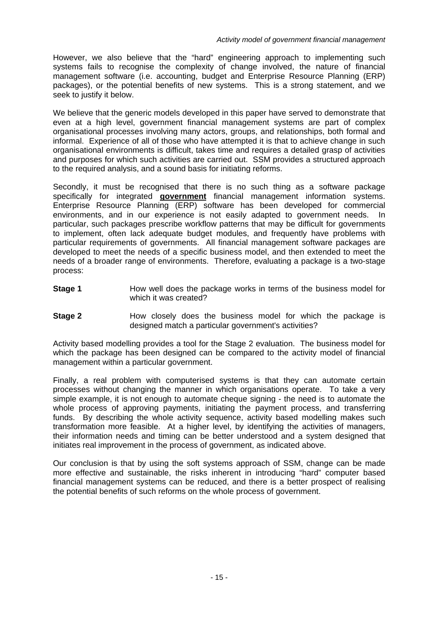However, we also believe that the "hard" engineering approach to implementing such systems fails to recognise the complexity of change involved, the nature of financial management software (i.e. accounting, budget and Enterprise Resource Planning (ERP) packages), or the potential benefits of new systems. This is a strong statement, and we seek to justify it below.

We believe that the generic models developed in this paper have served to demonstrate that even at a high level, government financial management systems are part of complex organisational processes involving many actors, groups, and relationships, both formal and informal. Experience of all of those who have attempted it is that to achieve change in such organisational environments is difficult, takes time and requires a detailed grasp of activities and purposes for which such activities are carried out. SSM provides a structured approach to the required analysis, and a sound basis for initiating reforms.

Secondly, it must be recognised that there is no such thing as a software package specifically for integrated **government** financial management information systems. Enterprise Resource Planning (ERP) software has been developed for commercial environments, and in our experience is not easily adapted to government needs. In particular, such packages prescribe workflow patterns that may be difficult for governments to implement, often lack adequate budget modules, and frequently have problems with particular requirements of governments. All financial management software packages are developed to meet the needs of a specific business model, and then extended to meet the needs of a broader range of environments. Therefore, evaluating a package is a two-stage process:

- **Stage 1** How well does the package works in terms of the business model for which it was created?
- **Stage 2** How closely does the business model for which the package is designed match a particular government's activities?

Activity based modelling provides a tool for the Stage 2 evaluation. The business model for which the package has been designed can be compared to the activity model of financial management within a particular government.

Finally, a real problem with computerised systems is that they can automate certain processes without changing the manner in which organisations operate. To take a very simple example, it is not enough to automate cheque signing - the need is to automate the whole process of approving payments, initiating the payment process, and transferring funds. By describing the whole activity sequence, activity based modelling makes such transformation more feasible. At a higher level, by identifying the activities of managers, their information needs and timing can be better understood and a system designed that initiates real improvement in the process of government, as indicated above.

Our conclusion is that by using the soft systems approach of SSM, change can be made more effective and sustainable, the risks inherent in introducing "hard" computer based financial management systems can be reduced, and there is a better prospect of realising the potential benefits of such reforms on the whole process of government.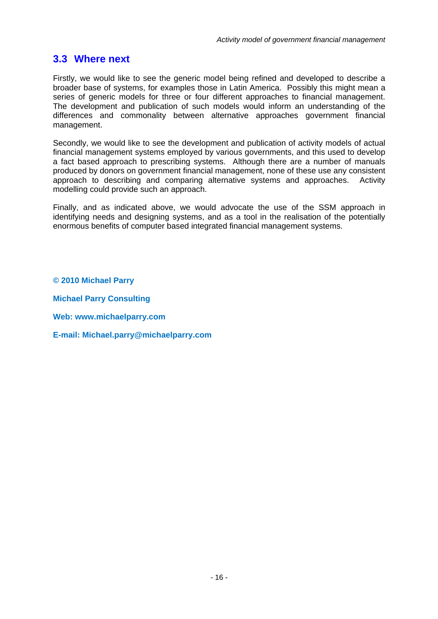### <span id="page-19-0"></span>**3.3 Where next**

Firstly, we would like to see the generic model being refined and developed to describe a broader base of systems, for examples those in Latin America. Possibly this might mean a series of generic models for three or four different approaches to financial management. The development and publication of such models would inform an understanding of the differences and commonality between alternative approaches government financial management.

Secondly, we would like to see the development and publication of activity models of actual financial management systems employed by various governments, and this used to develop a fact based approach to prescribing systems. Although there are a number of manuals produced by donors on government financial management, none of these use any consistent approach to describing and comparing alternative systems and approaches. Activity modelling could provide such an approach.

Finally, and as indicated above, we would advocate the use of the SSM approach in identifying needs and designing systems, and as a tool in the realisation of the potentially enormous benefits of computer based integrated financial management systems.

**© 2010 Michael Parry** 

**Michael Parry Consulting** 

**Web: www.michaelparry.com** 

**E-mail: Michael.parry@michaelparry.com**